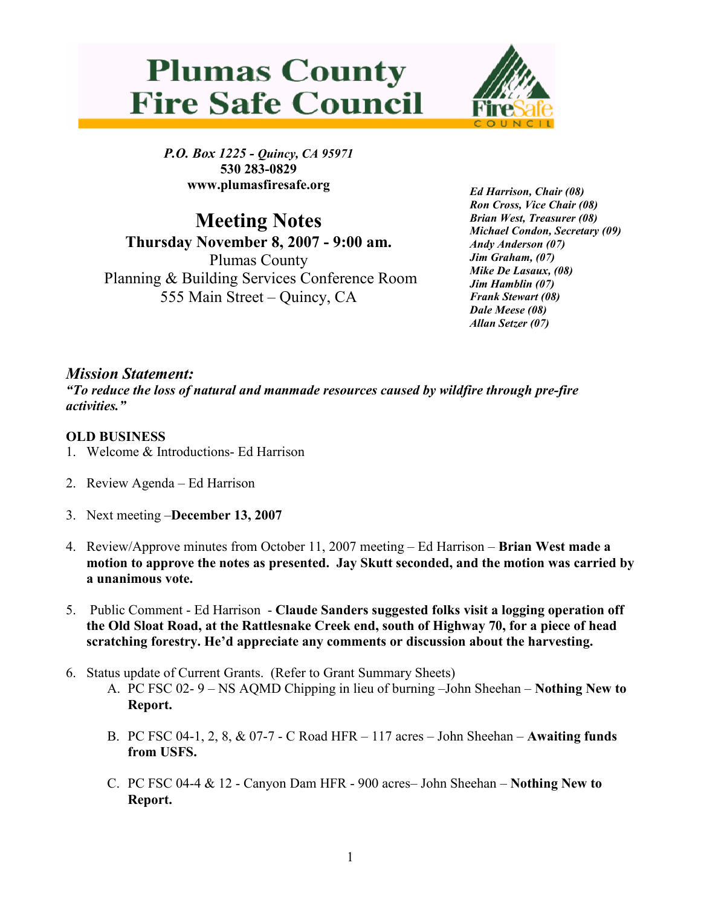



P.O. Box 1225 - Quincy, CA 95971 530 283-0829 www.plumasfiresafe.org

Meeting Notes Thursday November 8, 2007 - 9:00 am. Plumas County Planning & Building Services Conference Room 555 Main Street – Quincy, CA

Ed Harrison, Chair (08) Ron Cross, Vice Chair (08) Brian West, Treasurer (08) Michael Condon, Secretary (09) Andy Anderson (07) Jim Graham, (07) Mike De Lasaux, (08) Jim Hamblin (07) Frank Stewart (08) Dale Meese (08) Allan Setzer (07)

## Mission Statement:

"To reduce the loss of natural and manmade resources caused by wildfire through pre-fire activities."

## OLD BUSINESS

- 1. Welcome & Introductions- Ed Harrison
- 2. Review Agenda Ed Harrison
- 3. Next meeting –December 13, 2007
- 4. Review/Approve minutes from October 11, 2007 meeting Ed Harrison Brian West made a motion to approve the notes as presented. Jay Skutt seconded, and the motion was carried by a unanimous vote.
- 5. Public Comment Ed Harrison Claude Sanders suggested folks visit a logging operation off the Old Sloat Road, at the Rattlesnake Creek end, south of Highway 70, for a piece of head scratching forestry. He'd appreciate any comments or discussion about the harvesting.
- 6. Status update of Current Grants. (Refer to Grant Summary Sheets)
	- A. PC FSC 02- 9 NS AQMD Chipping in lieu of burning –John Sheehan Nothing New to Report.
	- B. PC FSC 04-1, 2, 8, & 07-7 C Road HFR 117 acres John Sheehan Awaiting funds from USFS.
	- C. PC FSC 04-4 & 12 Canyon Dam HFR 900 acres– John Sheehan Nothing New to Report.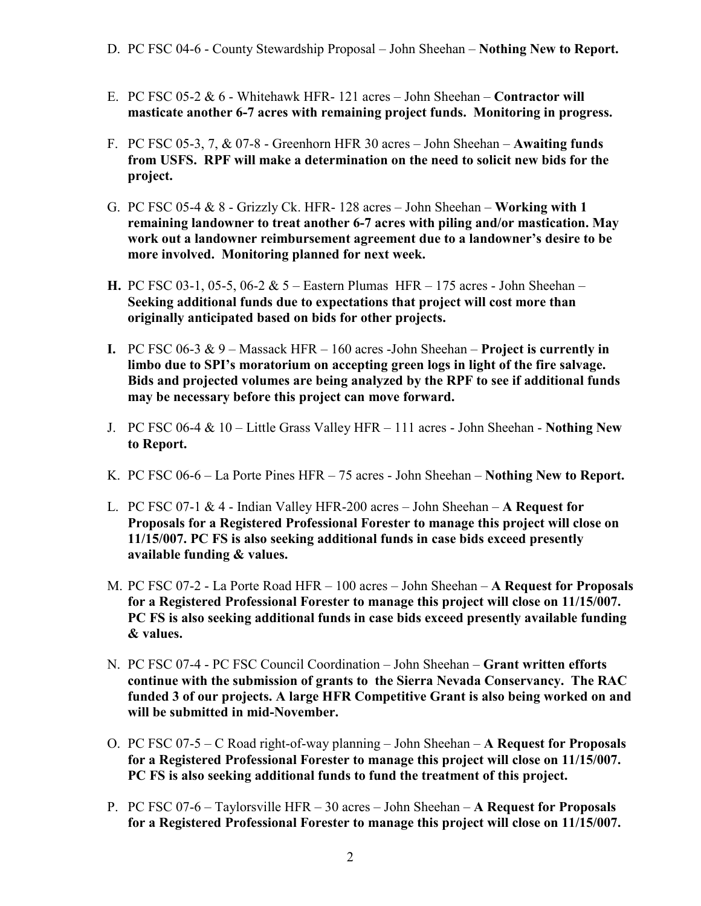- E. PC FSC 05-2  $\&$  6 Whitehawk HFR- 121 acres John Sheehan Contractor will masticate another 6-7 acres with remaining project funds. Monitoring in progress.
- F. PC FSC 05-3, 7, & 07-8 Greenhorn HFR 30 acres John Sheehan Awaiting funds from USFS. RPF will make a determination on the need to solicit new bids for the project.
- G. PC FSC 05-4  $& 8$  Grizzly Ck. HFR- 128 acres John Sheehan Working with 1 remaining landowner to treat another 6-7 acres with piling and/or mastication. May work out a landowner reimbursement agreement due to a landowner's desire to be more involved. Monitoring planned for next week.
- H. PC FSC 03-1, 05-5, 06-2  $& 5$  Eastern Plumas HFR 175 acres John Sheehan Seeking additional funds due to expectations that project will cost more than originally anticipated based on bids for other projects.
- I. PC FSC 06-3  $& 9$  Massack HFR 160 acres -John Sheehan **Project is currently in** limbo due to SPI's moratorium on accepting green logs in light of the fire salvage. Bids and projected volumes are being analyzed by the RPF to see if additional funds may be necessary before this project can move forward.
- J. PC FSC 06-4 & 10 Little Grass Valley HFR 111 acres John Sheehan Nothing New to Report.
- K. PC FSC 06-6 La Porte Pines HFR 75 acres John Sheehan Nothing New to Report.
- L. PC FSC 07-1  $&$  4 Indian Valley HFR-200 acres John Sheehan A Request for Proposals for a Registered Professional Forester to manage this project will close on 11/15/007. PC FS is also seeking additional funds in case bids exceed presently available funding & values.
- M. PC FSC 07-2 La Porte Road HFR 100 acres John Sheehan A Request for Proposals for a Registered Professional Forester to manage this project will close on 11/15/007. PC FS is also seeking additional funds in case bids exceed presently available funding & values.
- N. PC FSC 07-4 PC FSC Council Coordination John Sheehan Grant written efforts continue with the submission of grants to the Sierra Nevada Conservancy. The RAC funded 3 of our projects. A large HFR Competitive Grant is also being worked on and will be submitted in mid-November.
- O. PC FSC 07-5 C Road right-of-way planning John Sheehan A Request for Proposals for a Registered Professional Forester to manage this project will close on 11/15/007. PC FS is also seeking additional funds to fund the treatment of this project.
- P. PC FSC 07-6 Taylorsville HFR 30 acres John Sheehan A Request for Proposals for a Registered Professional Forester to manage this project will close on 11/15/007.